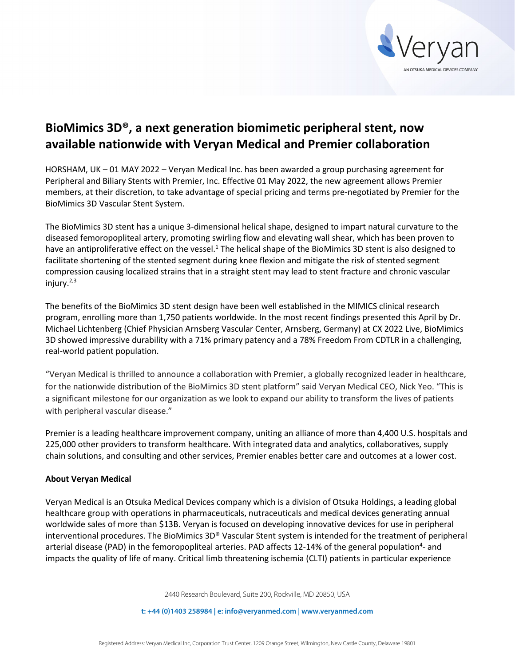

## **BioMimics 3D®, a next generation biomimetic peripheral stent, now available nationwide with Veryan Medical and Premier collaboration**

HORSHAM, UK – 01 MAY 2022 – Veryan Medical Inc. has been awarded a group purchasing agreement for Peripheral and Biliary Stents with Premier, Inc. Effective 01 May 2022, the new agreement allows Premier members, at their discretion, to take advantage of special pricing and terms pre-negotiated by Premier for the BioMimics 3D Vascular Stent System.

The BioMimics 3D stent has a unique 3-dimensional helical shape, designed to impart natural curvature to the diseased femoropopliteal artery, promoting swirling flow and elevating wall shear, which has been proven to have an antiproliferative effect on the vessel.<sup>1</sup> The helical shape of the BioMimics 3D stent is also designed to facilitate shortening of the stented segment during knee flexion and mitigate the risk of stented segment compression causing localized strains that in a straight stent may lead to stent fracture and chronic vascular injury. $2,3$ 

The benefits of the BioMimics 3D stent design have been well established in the MIMICS clinical research program, enrolling more than 1,750 patients worldwide. In the most recent findings presented this April by Dr. Michael Lichtenberg (Chief Physician Arnsberg Vascular Center, Arnsberg, Germany) at CX 2022 Live, BioMimics 3D showed impressive durability with a 71% primary patency and a 78% Freedom From CDTLR in a challenging, real-world patient population.

"Veryan Medical is thrilled to announce a collaboration with Premier, a globally recognized leader in healthcare, for the nationwide distribution of the BioMimics 3D stent platform" said Veryan Medical CEO, Nick Yeo. "This is a significant milestone for our organization as we look to expand our ability to transform the lives of patients with peripheral vascular disease."

Premier is a leading healthcare improvement company, uniting an alliance of more than 4,400 U.S. hospitals and 225,000 other providers to transform healthcare. With integrated data and analytics, collaboratives, supply chain solutions, and consulting and other services, Premier enables better care and outcomes at a lower cost.

## **About Veryan Medical**

Veryan Medical is an Otsuka Medical Devices company which is a division of Otsuka Holdings, a leading global healthcare group with operations in pharmaceuticals, nutraceuticals and medical devices generating annual worldwide sales of more than \$13B. Veryan is focused on developing innovative devices for use in peripheral interventional procedures. The BioMimics 3D® Vascular Stent system is intended for the treatment of peripheral arterial disease (PAD) in the femoropopliteal arteries. PAD affects 12-14% of the general population<sup>4</sup>- and impacts the quality of life of many. Critical limb threatening ischemia (CLTI) patients in particular experience

2440 Research Boulevard, Suite 200, Rockville, MD 20850, USA

**t: +44 (0)1403 258984 | e: info@veryanmed.com | www.veryanmed.com**